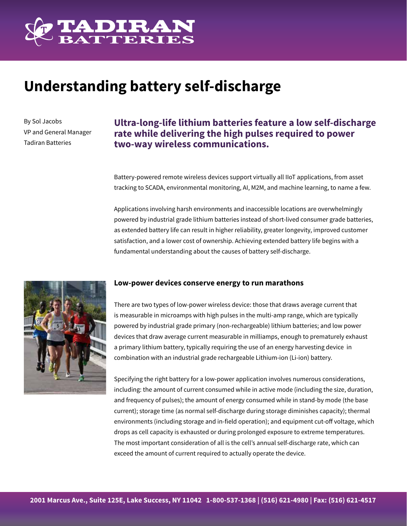

# **Understanding battery self-discharge**

By Sol Jacobs VP and General Manager Tadiran Batteries

## **Ultra-long-life lithium batteries feature a low self-discharge rate while delivering the high pulses required to power two-way wireless communications.**

Battery-powered remote wireless devices support virtually all IIoT applications, from asset tracking to SCADA, environmental monitoring, AI, M2M, and machine learning, to name a few.

Applications involving harsh environments and inaccessible locations are overwhelmingly powered by industrial grade lithium batteries instead of short-lived consumer grade batteries, as extended battery life can result in higher reliability, greater longevity, improved customer satisfaction, and a lower cost of ownership. Achieving extended battery life begins with a fundamental understanding about the causes of battery self-discharge.



#### **Low-power devices conserve energy to run marathons**

There are two types of low-power wireless device: those that draws average current that is measurable in microamps with high pulses in the multi-amp range, which are typically powered by industrial grade primary (non-rechargeable) lithium batteries; and low power devices that draw average current measurable in milliamps, enough to prematurely exhaust a primary lithium battery, typically requiring the use of an energy harvesting device in combination with an industrial grade rechargeable Lithium-ion (Li-ion) battery.

Specifying the right battery for a low-power application involves numerous considerations, including: the amount of current consumed while in active mode (including the size, duration, and frequency of pulses); the amount of energy consumed while in stand-by mode (the base current); storage time (as normal self-discharge during storage diminishes capacity); thermal environments (including storage and in-field operation); and equipment cut-off voltage, which drops as cell capacity is exhausted or during prolonged exposure to extreme temperatures. The most important consideration of all is the cell's annual self-discharge rate, which can exceed the amount of current required to actually operate the device.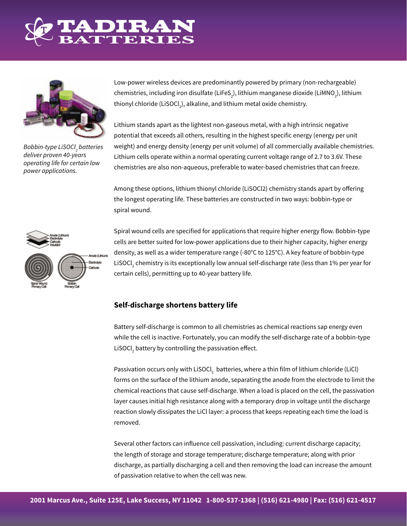



*Bobbin-type LiSOCl2 batteries deliver proven 40-years operating life for certain low power applications.*

Low-power wireless devices are predominantly powered by primary (non-rechargeable) chemistries, including iron disulfate (LiFeS<sub>2</sub>), lithium manganese dioxide (LiMNO<sub>2</sub>), lithium thionyl chloride (LiSOCl $_{_2}$ ), alkaline, and lithium metal oxide chemistry.

Lithium stands apart as the lightest non-gaseous metal, with a high intrinsic negative potential that exceeds all others, resulting in the highest specific energy (energy per unit weight) and energy density (energy per unit volume) of all commercially available chemistries. Lithium cells operate within a normal operating current voltage range of 2.7 to 3.6V. These chemistries are also non-aqueous, preferable to water-based chemistries that can freeze.

Among these options, lithium thionyl chloride (LiSOCl2) chemistry stands apart by offering the longest operating life. These batteries are constructed in two ways: bobbin-type or spiral wound.



Spiral wound cells are specified for applications that require higher energy flow. Bobbin-type cells are better suited for low-power applications due to their higher capacity, higher energy density, as well as a wider temperature range (-80°C to 125°C). A key feature of bobbin-type LiSOCl<sub>2</sub> chemistry is its exceptionally low annual self-discharge rate (less than 1% per year for certain cells), permitting up to 40-year battery life.

#### **Self-discharge shortens battery life**

Battery self-discharge is common to all chemistries as chemical reactions sap energy even while the cell is inactive. Fortunately, you can modify the self-discharge rate of a bobbin-type LiSOCl $_2$  battery by controlling the passivation effect.

Passivation occurs only with LiSOCl $_2$  batteries, where a thin film of lithium chloride (LiCl) forms on the surface of the lithium anode, separating the anode from the electrode to limit the chemical reactions that cause self-discharge. When a load is placed on the cell, the passivation layer causes initial high resistance along with a temporary drop in voltage until the discharge reaction slowly dissipates the LiCl layer: a process that keeps repeating each time the load is removed.

Several other factors can influence cell passivation, including: current discharge capacity; the length of storage and storage temperature; discharge temperature; along with prior discharge, as partially discharging a cell and then removing the load can increase the amount of passivation relative to when the cell was new.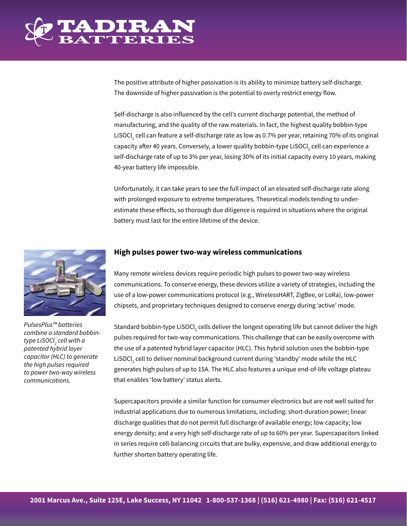

The positive attribute of higher passivation is its ability to minimize battery self-discharge. The downside of higher passivation is the potential to overly restrict energy flow.

Self-discharge is also influenced by the cell's current discharge potential, the method of manufacturing, and the quality of the raw materials. In fact, the highest quality bobbin-type LiSOCl<sub>2</sub> cell can feature a self-discharge rate as low as 0.7% per year, retaining 70% of its original capacity after 40 years. Conversely, a lower quality bobbin-type LiSOCl $_{_2}$ cell can experience a self-discharge rate of up to 3% per year, losing 30% of its initial capacity every 10 years, making 40-year battery life impossible.

Unfortunately, it can take years to see the full impact of an elevated self-discharge rate along with prolonged exposure to extreme temperatures. Theoretical models tending to underestimate these effects, so thorough due diligence is required in situations where the original battery must last for the entire lifetime of the device.



*PulsesPlus™ batteries combine a standard bobbintype LiSOCl2 cell with a patented hybrid layer capacitor (HLC) to generate the high pulses required to power two-way wireless communications.*

#### **High pulses power two-way wireless communications**

Many remote wireless devices require periodic high pulses to power two-way wireless communications. To conserve energy, these devices utilize a variety of strategies, including the use of a low-power communications protocol (e.g., WirelessHART, ZigBee, or LoRa), low-power chipsets, and proprietary techniques designed to conserve energy during 'active' mode.

Standard bobbin-type LiSOCl<sub>2</sub> cells deliver the longest operating life but cannot deliver the high pulses required for two-way communications. This challenge that can be easily overcome with the use of a patented hybrid layer capacitor (HLC). This hybrid solution uses the bobbin-type LiSOCl<sub>2</sub> cell to deliver nominal background current during 'standby' mode while the HLC generates high pulses of up to 15A. The HLC also features a unique end-of-life voltage plateau that enables 'low battery' status alerts.

Supercapacitors provide a similar function for consumer electronics but are not well suited for industrial applications due to numerous limitations, including: short-duration power; linear discharge qualities that do not permit full discharge of available energy; low capacity; low energy density; and a very high self-discharge rate of up to 60% per year. Supercapacitors linked in series require cell-balancing circuits that are bulky, expensive, and draw additional energy to further shorten battery operating life.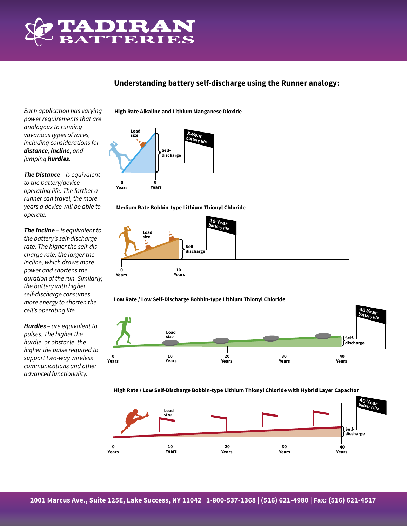

### **Understanding battery self-discharge using the Runner analogy:**

*Each application has varying power requirements that are analogous to running vavarious types of races, including considerations for distance, incline, and jumping hurdles.*

*The Distance – is equivalent to the battery/device operating life. The farther a runner can travel, the more years a device will be able to operate.*

*The Incline – is equivalent to the battery's self-discharge rate. The higher the self-discharge rate, the larger the incline, which draws more power and shortens the duration of the run. Similarly, the battery with higher self-discharge consumes more energy to shorten the cell's operating life.*

*Hurdles – are equivalent to pulses. The higher the hurdle, or obstacle, the higher the pulse required to support two-way wireless communications and other advanced functionality.*

**High Rate Alkaline and Lithium Manganese Dioxide** 











**High Rate / Low Self-Discharge Bobbin-type Lithium Thionyl Chloride with Hybrid Layer Capacitor**